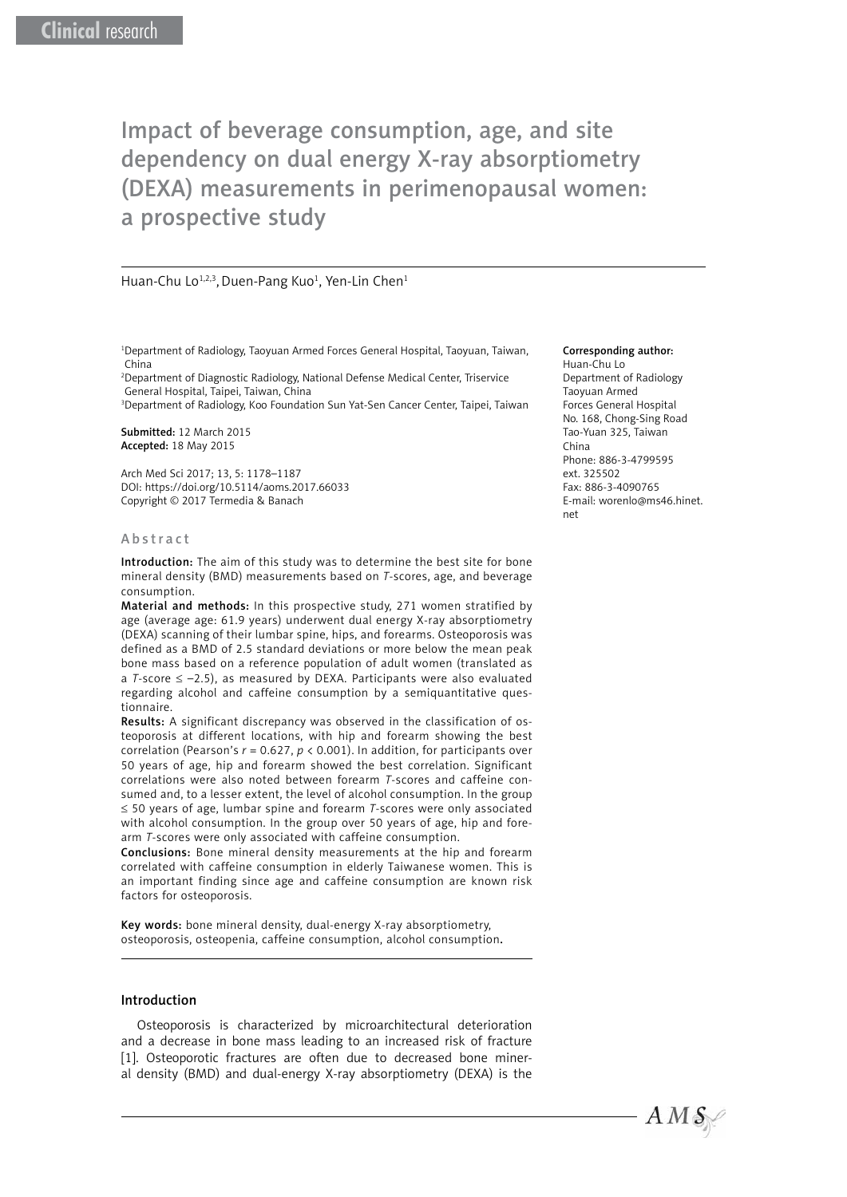# Impact of beverage consumption, age, and site dependency on dual energy X-ray absorptiometry (DEXA) measurements in perimenopausal women: a prospective study

### Huan-Chu Lo<sup>1,2,3</sup>, Duen-Pang Kuo<sup>1</sup>, Yen-Lin Chen<sup>1</sup>

1 Department of Radiology, Taoyuan Armed Forces General Hospital, Taoyuan, Taiwan, China

2 Department of Diagnostic Radiology, National Defense Medical Center, Triservice General Hospital, Taipei, Taiwan, China

3 Department of Radiology, Koo Foundation Sun Yat-Sen Cancer Center, Taipei, Taiwan

Submitted: 12 March 2015 Accepted: 18 May 2015

Arch Med Sci 2017; 13, 5: 1178–1187 DOI: https://doi.org/10.5114/aoms.2017.66033 Copyright © 2017 Termedia & Banach

#### Abstract

Introduction: The aim of this study was to determine the best site for bone mineral density (BMD) measurements based on *T*-scores, age, and beverage consumption.

Material and methods: In this prospective study, 271 women stratified by age (average age: 61.9 years) underwent dual energy X-ray absorptiometry (DEXA) scanning of their lumbar spine, hips, and forearms. Osteoporosis was defined as a BMD of 2.5 standard deviations or more below the mean peak bone mass based on a reference population of adult women (translated as a *T*-score ≤ –2.5), as measured by DEXA. Participants were also evaluated regarding alcohol and caffeine consumption by a semiquantitative questionnaire.

Results: A significant discrepancy was observed in the classification of osteoporosis at different locations, with hip and forearm showing the best correlation (Pearson's *r* = 0.627, *p* < 0.001). In addition, for participants over 50 years of age, hip and forearm showed the best correlation. Significant correlations were also noted between forearm *T*-scores and caffeine consumed and, to a lesser extent, the level of alcohol consumption. In the group ≤ 50 years of age, lumbar spine and forearm *T*-scores were only associated with alcohol consumption. In the group over 50 years of age, hip and forearm *T*-scores were only associated with caffeine consumption.

Conclusions: Bone mineral density measurements at the hip and forearm correlated with caffeine consumption in elderly Taiwanese women. This is an important finding since age and caffeine consumption are known risk factors for osteoporosis.

Key words: bone mineral density, dual-energy X-ray absorptiometry, osteoporosis, osteopenia, caffeine consumption, alcohol consumption.

#### Introduction

Osteoporosis is characterized by microarchitectural deterioration and a decrease in bone mass leading to an increased risk of fracture [1]. Osteoporotic fractures are often due to decreased bone mineral density (BMD) and dual-energy X-ray absorptiometry (DEXA) is the

#### Corresponding author:

Huan-Chu Lo Department of Radiology Taoyuan Armed Forces General Hospital No. 168, Chong-Sing Road Tao-Yuan 325, Taiwan China Phone: 886-3-4799595 ext. 325502 Fax: 886-3-4090765 E-mail: worenlo@ms46.hinet. net

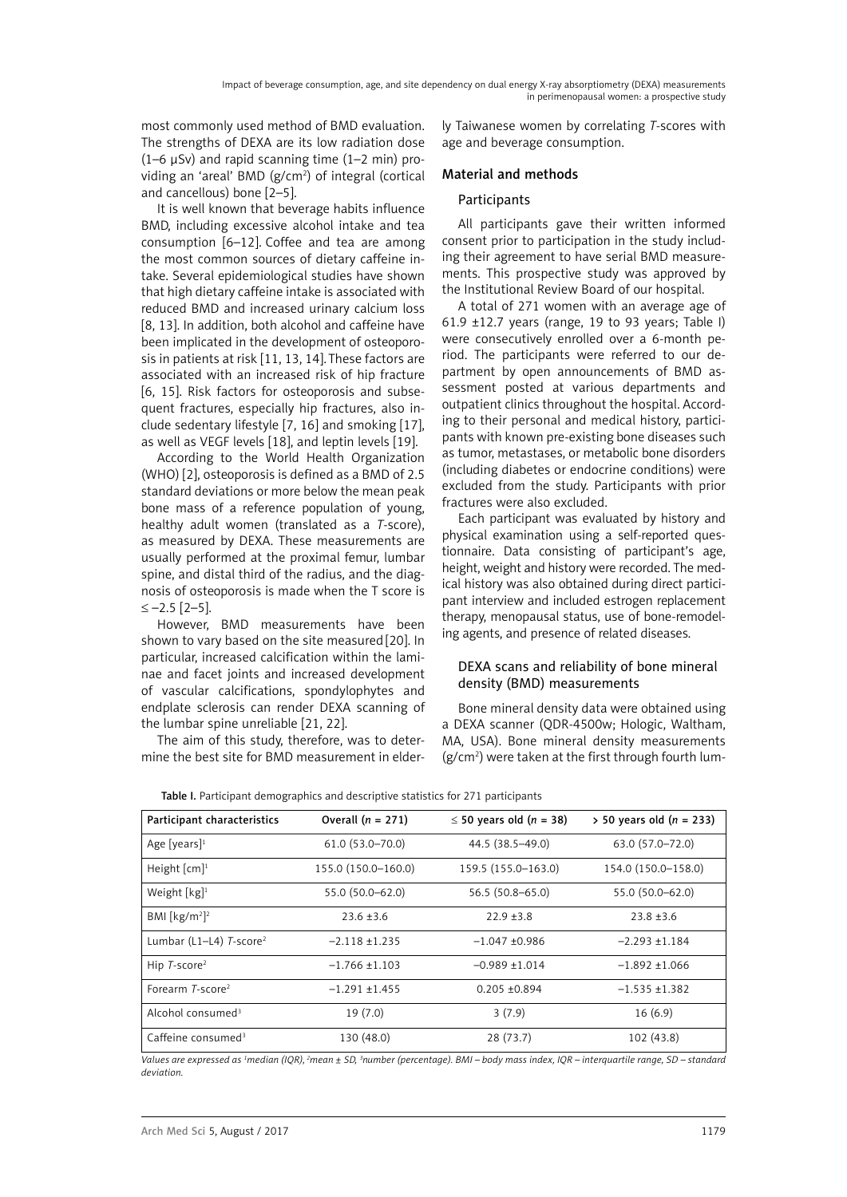most commonly used method of BMD evaluation. The strengths of DEXA are its low radiation dose  $(1-6 \mu Sv)$  and rapid scanning time  $(1-2 \mu sn)$  providing an 'areal' BMD (g/cm<sup>2</sup>) of integral (cortical and cancellous) bone [2–5].

It is well known that beverage habits influence BMD, including excessive alcohol intake and tea consumption [6–12]. Coffee and tea are among the most common sources of dietary caffeine intake. Several epidemiological studies have shown that high dietary caffeine intake is associated with reduced BMD and increased urinary calcium loss [8, 13]. In addition, both alcohol and caffeine have been implicated in the development of osteoporosis in patients at risk [11, 13, 14]. These factors are associated with an increased risk of hip fracture [6, 15]. Risk factors for osteoporosis and subsequent fractures, especially hip fractures, also include sedentary lifestyle [7, 16] and smoking [17], as well as VEGF levels [18], and leptin levels [19].

According to the World Health Organization (WHO) [2], osteoporosis is defined as a BMD of 2.5 standard deviations or more below the mean peak bone mass of a reference population of young, healthy adult women (translated as a *T*-score), as measured by DEXA. These measurements are usually performed at the proximal femur, lumbar spine, and distal third of the radius, and the diagnosis of osteoporosis is made when the T score is ≤ –2.5 [2–5].

However, BMD measurements have been shown to vary based on the site measured [20]. In particular, increased calcification within the laminae and facet joints and increased development of vascular calcifications, spondylophytes and endplate sclerosis can render DEXA scanning of the lumbar spine unreliable [21, 22].

The aim of this study, therefore, was to determine the best site for BMD measurement in elderly Taiwanese women by correlating *T*-scores with age and beverage consumption.

# Material and methods

# **Participants**

All participants gave their written informed consent prior to participation in the study including their agreement to have serial BMD measurements. This prospective study was approved by the Institutional Review Board of our hospital.

A total of 271 women with an average age of 61.9  $\pm$ 12.7 years (range, 19 to 93 years; Table I) were consecutively enrolled over a 6-month period. The participants were referred to our department by open announcements of BMD assessment posted at various departments and outpatient clinics throughout the hospital. According to their personal and medical history, participants with known pre-existing bone diseases such as tumor, metastases, or metabolic bone disorders (including diabetes or endocrine conditions) were excluded from the study. Participants with prior fractures were also excluded.

Each participant was evaluated by history and physical examination using a self-reported questionnaire. Data consisting of participant's age, height, weight and history were recorded. The medical history was also obtained during direct participant interview and included estrogen replacement therapy, menopausal status, use of bone-remodeling agents, and presence of related diseases.

# DEXA scans and reliability of bone mineral density (BMD) measurements

Bone mineral density data were obtained using a DEXA scanner (QDR-4500w; Hologic, Waltham, MA, USA). Bone mineral density measurements (g/cm2 ) were taken at the first through fourth lum-

| Participant characteristics              | Overall $(n = 271)$ | $\leq$ 50 years old (n = 38) | $>$ 50 years old (n = 233) |
|------------------------------------------|---------------------|------------------------------|----------------------------|
| Age [years] <sup>1</sup>                 | $61.0(53.0 - 70.0)$ | 44.5 (38.5-49.0)             | 63.0 (57.0–72.0)           |
| Height $\lceil$ cm $\rceil$ <sup>1</sup> | 155.0 (150.0-160.0) | 159.5 (155.0-163.0)          | 154.0 (150.0-158.0)        |
| Weight $[kg]$ <sup>1</sup>               | 55.0 (50.0-62.0)    | $56.5(50.8 - 65.0)$          | 55.0 (50.0–62.0)           |
| BMI [ $kg/m2$ ] <sup>2</sup>             | $23.6 \pm 3.6$      | $22.9 + 3.8$                 | $23.8 + 3.6$               |
| Lumbar (L1-L4) T-score <sup>2</sup>      | $-2.118 + 1.235$    | $-1.047 + 0.986$             | $-2.293 + 1.184$           |
| Hip $T$ -score <sup>2</sup>              | $-1.766 + 1.103$    | $-0.989 + 1.014$             | $-1.892 + 1.066$           |
| Forearm T-score <sup>2</sup>             | $-1.291 + 1.455$    | $0.205 + 0.894$              | $-1.535 + 1.382$           |
| Alcohol consumed <sup>3</sup>            | 19(7.0)             | 3(7.9)                       | 16(6.9)                    |
| Caffeine consumed <sup>3</sup>           | 130 (48.0)          | 28(73.7)                     | 102 (43.8)                 |

Table I. Participant demographics and descriptive statistics for 271 participants

*Values are expressed as 1 median (IQR), 2mean ± SD, 3 number (percentage). BMI – body mass index, IQR – interquartile range, SD – standard deviation.*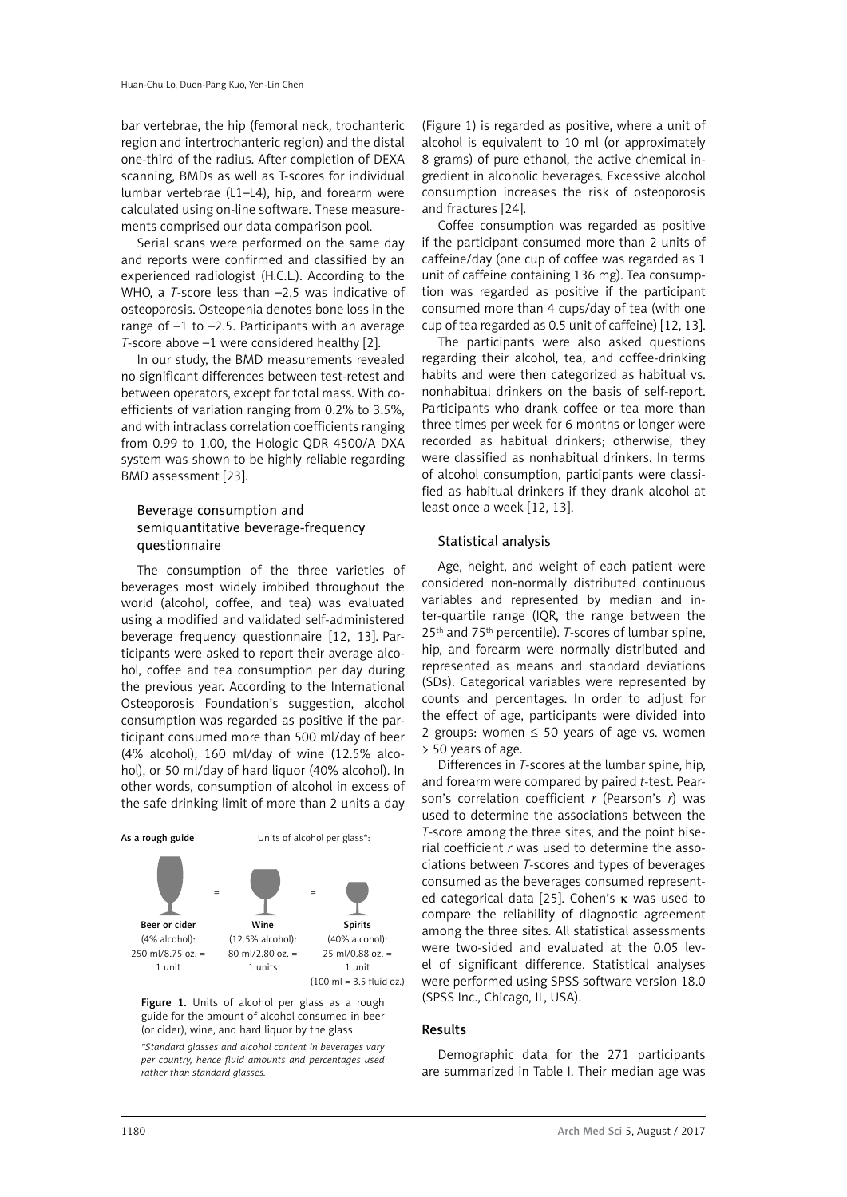bar vertebrae, the hip (femoral neck, trochanteric region and intertrochanteric region) and the distal one-third of the radius. After completion of DEXA scanning, BMDs as well as T-scores for individual lumbar vertebrae (L1–L4), hip, and forearm were calculated using on-line software. These measurements comprised our data comparison pool.

Serial scans were performed on the same day and reports were confirmed and classified by an experienced radiologist (H.C.L.). According to the WHO, a *T*-score less than –2.5 was indicative of osteoporosis. Osteopenia denotes bone loss in the range of –1 to –2.5. Participants with an average *T*-score above –1 were considered healthy [2].

In our study, the BMD measurements revealed no significant differences between test-retest and between operators, except for total mass. With coefficients of variation ranging from 0.2% to 3.5%, and with intraclass correlation coefficients ranging from 0.99 to 1.00, the Hologic QDR 4500/A DXA system was shown to be highly reliable regarding BMD assessment [23].

# Beverage consumption and semiquantitative beverage-frequency questionnaire

The consumption of the three varieties of beverages most widely imbibed throughout the world (alcohol, coffee, and tea) was evaluated using a modified and validated self-administered beverage frequency questionnaire [12, 13]. Participants were asked to report their average alcohol, coffee and tea consumption per day during the previous year. According to the International Osteoporosis Foundation's suggestion, alcohol consumption was regarded as positive if the participant consumed more than 500 ml/day of beer (4% alcohol), 160 ml/day of wine (12.5% alcohol), or 50 ml/day of hard liquor (40% alcohol). In other words, consumption of alcohol in excess of the safe drinking limit of more than 2 units a day



Figure 1. Units of alcohol per glass as a rough guide for the amount of alcohol consumed in beer (or cider), wine, and hard liquor by the glass

*\*Standard glasses and alcohol content in beverages vary per country, hence fluid amounts and percentages used rather than standard glasses.*

(Figure 1) is regarded as positive, where a unit of alcohol is equivalent to 10 ml (or approximately 8 grams) of pure ethanol, the active chemical ingredient in alcoholic beverages. Excessive alcohol consumption increases the risk of osteoporosis and fractures [24].

Coffee consumption was regarded as positive if the participant consumed more than 2 units of caffeine/day (one cup of coffee was regarded as 1 unit of caffeine containing 136 mg). Tea consumption was regarded as positive if the participant consumed more than 4 cups/day of tea (with one cup of tea regarded as 0.5 unit of caffeine) [12, 13].

The participants were also asked questions regarding their alcohol, tea, and coffee-drinking habits and were then categorized as habitual vs. nonhabitual drinkers on the basis of self-report. Participants who drank coffee or tea more than three times per week for 6 months or longer were recorded as habitual drinkers; otherwise, they were classified as nonhabitual drinkers. In terms of alcohol consumption, participants were classified as habitual drinkers if they drank alcohol at least once a week [12, 13].

# Statistical analysis

Age, height, and weight of each patient were considered non-normally distributed continuous variables and represented by median and inter-quartile range (IQR, the range between the 25th and 75th percentile). *T*-scores of lumbar spine, hip, and forearm were normally distributed and represented as means and standard deviations (SDs). Categorical variables were represented by counts and percentages. In order to adjust for the effect of age, participants were divided into 2 groups: women  $\leq$  50 years of age vs. women > 50 years of age.

Differences in *T*-scores at the lumbar spine, hip, and forearm were compared by paired *t-*test. Pearson's correlation coefficient *r* (Pearson's *r*) was used to determine the associations between the *T*-score among the three sites, and the point biserial coefficient *r* was used to determine the associations between *T*-scores and types of beverages consumed as the beverages consumed represented categorical data [25]. Cohen's  $\kappa$  was used to compare the reliability of diagnostic agreement among the three sites. All statistical assessments were two-sided and evaluated at the 0.05 level of significant difference. Statistical analyses were performed using SPSS software version 18.0 (SPSS Inc., Chicago, IL, USA).

# Results

Demographic data for the 271 participants are summarized in Table I. Their median age was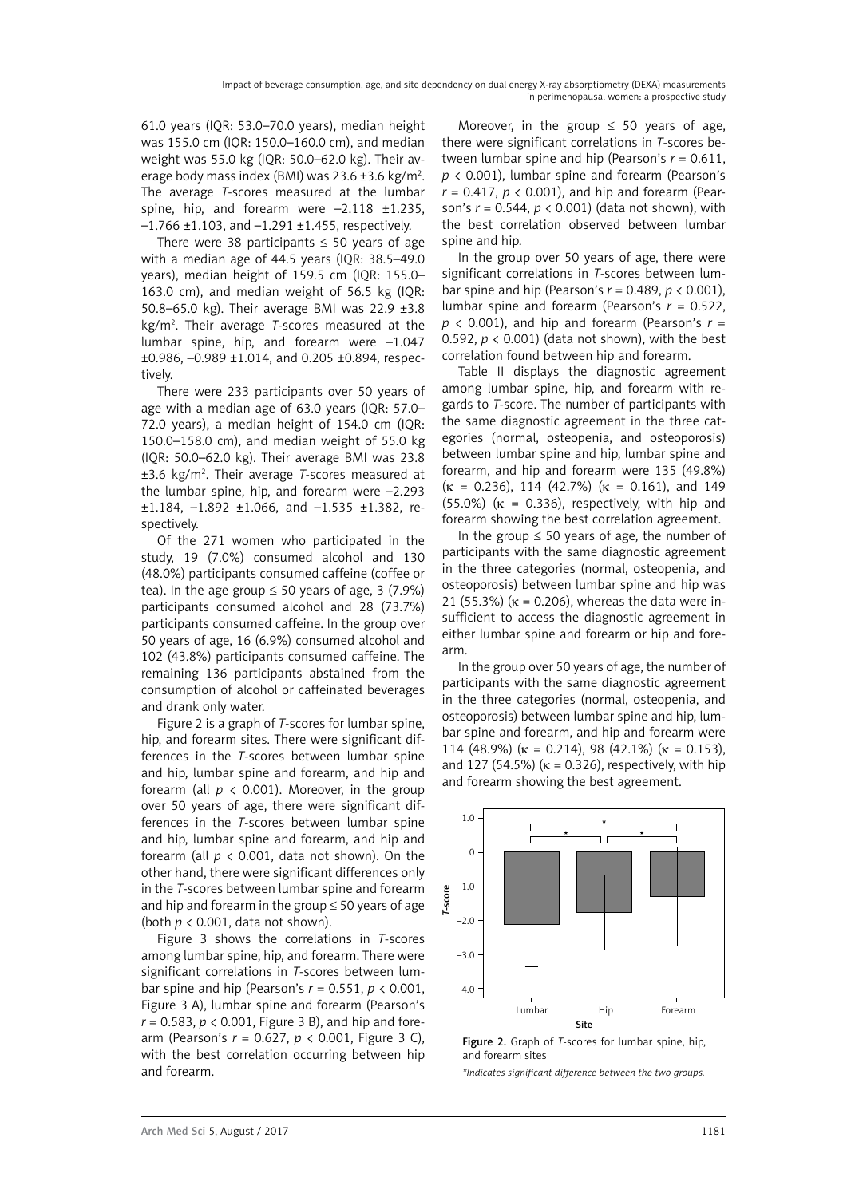61.0 years (IQR: 53.0–70.0 years), median height was 155.0 cm (IQR: 150.0–160.0 cm), and median weight was 55.0 kg (IQR: 50.0–62.0 kg). Their average body mass index (BMI) was 23.6 ±3.6 kg/m<sup>2</sup>. The average *T*-scores measured at the lumbar spine, hip, and forearm were -2.118 ±1.235,  $-1.766 \pm 1.103$ , and  $-1.291 \pm 1.455$ , respectively.

There were 38 participants  $\leq$  50 years of age with a median age of 44.5 years (IQR: 38.5–49.0 years), median height of 159.5 cm (IQR: 155.0– 163.0 cm), and median weight of 56.5 kg (IQR: 50.8–65.0 kg). Their average BMI was 22.9 ±3.8 kg/m2 . Their average *T*-scores measured at the lumbar spine, hip, and forearm were –1.047 ±0.986, –0.989 ±1.014, and 0.205 ±0.894, respectively.

There were 233 participants over 50 years of age with a median age of 63.0 years (IQR: 57.0– 72.0 years), a median height of 154.0 cm (IQR: 150.0–158.0 cm), and median weight of 55.0 kg (IQR: 50.0–62.0 kg). Their average BMI was 23.8 ±3.6 kg/m2 . Their average *T*-scores measured at the lumbar spine, hip, and forearm were –2.293 ±1.184, –1.892 ±1.066, and –1.535 ±1.382, respectively.

Of the 271 women who participated in the study, 19 (7.0%) consumed alcohol and 130 (48.0%) participants consumed caffeine (coffee or tea). In the age group  $\leq 50$  years of age, 3 (7.9%) participants consumed alcohol and 28 (73.7%) participants consumed caffeine. In the group over 50 years of age, 16 (6.9%) consumed alcohol and 102 (43.8%) participants consumed caffeine. The remaining 136 participants abstained from the consumption of alcohol or caffeinated beverages and drank only water.

Figure 2 is a graph of *T*-scores for lumbar spine, hip, and forearm sites. There were significant differences in the *T*-scores between lumbar spine and hip, lumbar spine and forearm, and hip and forearm (all  $p \lt 0.001$ ). Moreover, in the group over 50 years of age, there were significant differences in the *T*-scores between lumbar spine and hip, lumbar spine and forearm, and hip and forearm (all  $p < 0.001$ , data not shown). On the other hand, there were significant differences only in the *T*-scores between lumbar spine and forearm and hip and forearm in the group  $\leq$  50 years of age (both *p* < 0.001, data not shown).

Figure 3 shows the correlations in *T*-scores among lumbar spine, hip, and forearm. There were significant correlations in *T*-scores between lumbar spine and hip (Pearson's *r* = 0.551, *p* < 0.001, Figure 3 A), lumbar spine and forearm (Pearson's  $r = 0.583$ ,  $p < 0.001$ , Figure 3 B), and hip and forearm (Pearson's *r* = 0.627, *p* < 0.001, Figure 3 C), with the best correlation occurring between hip and forearm.

Moreover, in the group  $\leq$  50 years of age, there were significant correlations in *T*-scores between lumbar spine and hip (Pearson's *r* = 0.611, *p* < 0.001), lumbar spine and forearm (Pearson's *r* = 0.417, *p* < 0.001), and hip and forearm (Pearson's *r* = 0.544, *p* < 0.001) (data not shown), with the best correlation observed between lumbar spine and hip.

In the group over 50 years of age, there were significant correlations in *T*-scores between lumbar spine and hip (Pearson's *r* = 0.489, *p* < 0.001), lumbar spine and forearm (Pearson's *r* = 0.522, *p* < 0.001), and hip and forearm (Pearson's *r* = 0.592, *p* < 0.001) (data not shown), with the best correlation found between hip and forearm.

Table II displays the diagnostic agreement among lumbar spine, hip, and forearm with regards to *T*-score. The number of participants with the same diagnostic agreement in the three categories (normal, osteopenia, and osteoporosis) between lumbar spine and hip, lumbar spine and forearm, and hip and forearm were 135 (49.8%)  $(\kappa = 0.236)$ , 114 (42.7%)  $(\kappa = 0.161)$ , and 149 (55.0%) ( $\kappa$  = 0.336), respectively, with hip and forearm showing the best correlation agreement.

In the group  $\leq 50$  years of age, the number of participants with the same diagnostic agreement in the three categories (normal, osteopenia, and osteoporosis) between lumbar spine and hip was 21 (55.3%) ( $\kappa$  = 0.206), whereas the data were insufficient to access the diagnostic agreement in either lumbar spine and forearm or hip and forearm.

In the group over 50 years of age, the number of participants with the same diagnostic agreement in the three categories (normal, osteopenia, and osteoporosis) between lumbar spine and hip, lumbar spine and forearm, and hip and forearm were 114 (48.9%) ( $\kappa$  = 0.214), 98 (42.1%) ( $\kappa$  = 0.153), and 127 (54.5%) ( $\kappa$  = 0.326), respectively, with hip and forearm showing the best agreement.



Figure 2. Graph of *T*-scores for lumbar spine, hip, and forearm sites

*\*Indicates significant difference between the two groups.*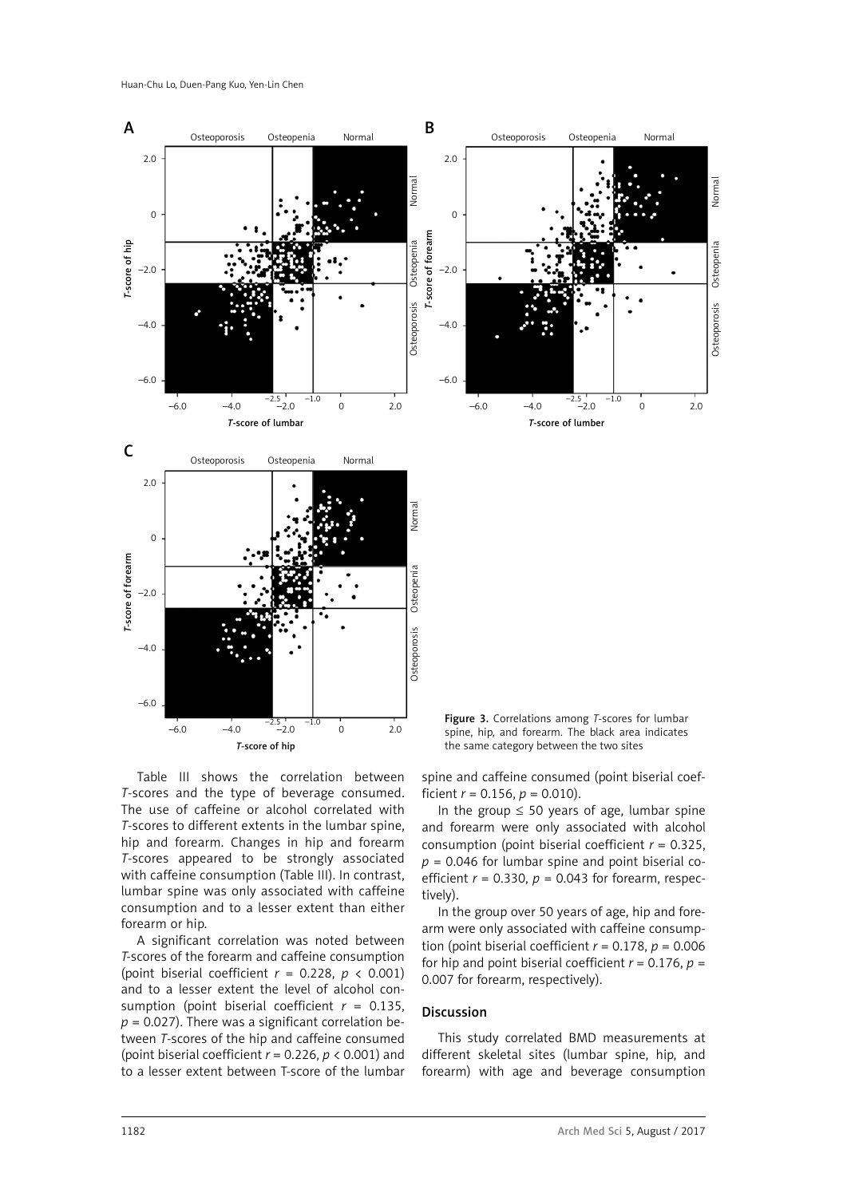

Table III shows the correlation between *T*-scores and the type of beverage consumed. The use of caffeine or alcohol correlated with *T*-scores to different extents in the lumbar spine, hip and forearm. Changes in hip and forearm *T*-scores appeared to be strongly associated with caffeine consumption (Table III). In contrast, lumbar spine was only associated with caffeine consumption and to a lesser extent than either forearm or hip.

A significant correlation was noted between *T-*scores of the forearm and caffeine consumption (point biserial coefficient  $r = 0.228$ ,  $p \lt 0.001$ ) and to a lesser extent the level of alcohol consumption (point biserial coefficient  $r = 0.135$ ,  $p = 0.027$ ). There was a significant correlation between *T*-scores of the hip and caffeine consumed (point biserial coefficient *r* = 0.226, *p* < 0.001) and to a lesser extent between T-score of the lumbar

spine and caffeine consumed (point biserial coefficient  $r = 0.156$ ,  $p = 0.010$ ).

In the group  $\leq$  50 years of age, lumbar spine and forearm were only associated with alcohol consumption (point biserial coefficient *r* = 0.325,  $p = 0.046$  for lumbar spine and point biserial coefficient  $r = 0.330$ ,  $p = 0.043$  for forearm, respectively).

In the group over 50 years of age, hip and forearm were only associated with caffeine consumption (point biserial coefficient  $r = 0.178$ ,  $p = 0.006$ for hip and point biserial coefficient  $r = 0.176$ ,  $p =$ 0.007 for forearm, respectively).

#### Discussion

This study correlated BMD measurements at different skeletal sites (lumbar spine, hip, and forearm) with age and beverage consumption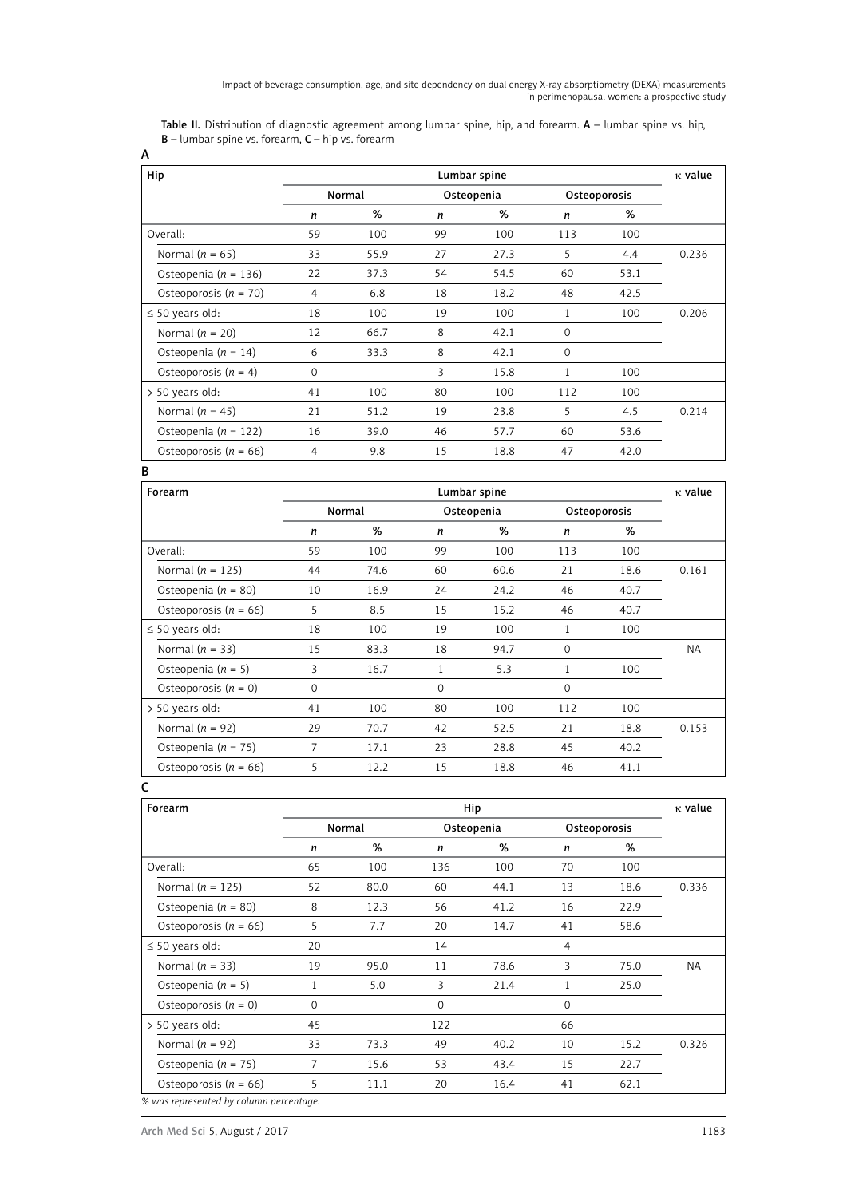Table II. Distribution of diagnostic agreement among lumbar spine, hip, and forearm. A - lumbar spine vs. hip,  $B$  – lumbar spine vs. forearm,  $C$  – hip vs. forearm

| Hip                       | Lumbar spine         |      |    |              |             | $\kappa$ value |       |
|---------------------------|----------------------|------|----|--------------|-------------|----------------|-------|
|                           | Normal<br>Osteopenia |      |    | Osteoporosis |             |                |       |
|                           | n                    | %    | n  | %            | n           | %              |       |
| Overall:                  | 59                   | 100  | 99 | 100          | 113         | 100            |       |
| Normal ( $n = 65$ )       | 33                   | 55.9 | 27 | 27.3         | 5           | 4.4            | 0.236 |
| Osteopenia ( $n = 136$ )  | 22                   | 37.3 | 54 | 54.5         | 60          | 53.1           |       |
| Osteoporosis ( $n = 70$ ) | $\overline{4}$       | 6.8  | 18 | 18.2         | 48          | 42.5           |       |
| $\leq$ 50 years old:      | 18                   | 100  | 19 | 100          | 1           | 100            | 0.206 |
| Normal $(n = 20)$         | 12                   | 66.7 | 8  | 42.1         | $\mathbf 0$ |                |       |
| Osteopenia ( $n = 14$ )   | 6                    | 33.3 | 8  | 42.1         | $\mathbf 0$ |                |       |
| Osteoporosis $(n = 4)$    | $\mathbf{O}$         |      | 3  | 15.8         | 1           | 100            |       |
| $> 50$ years old:         | 41                   | 100  | 80 | 100          | 112         | 100            |       |
| Normal $(n = 45)$         | 21                   | 51.2 | 19 | 23.8         | 5           | 4.5            | 0.214 |
| Osteopenia ( $n = 122$ )  | 16                   | 39.0 | 46 | 57.7         | 60          | 53.6           |       |
| Osteoporosis ( $n = 66$ ) | 4                    | 9.8  | 15 | 18.8         | 47          | 42.0           |       |

#### B

A

| Forearm                   | Lumbar spine |      |              |      | $\kappa$ value   |      |           |
|---------------------------|--------------|------|--------------|------|------------------|------|-----------|
|                           | Normal       |      | Osteopenia   |      | Osteoporosis     |      |           |
|                           | n            | %    | n            | %    | $\boldsymbol{n}$ | %    |           |
| Overall:                  | 59           | 100  | 99           | 100  | 113              | 100  |           |
| Normal ( $n = 125$ )      | 44           | 74.6 | 60           | 60.6 | 21               | 18.6 | 0.161     |
| Osteopenia ( $n = 80$ )   | 10           | 16.9 | 24           | 24.2 | 46               | 40.7 |           |
| Osteoporosis ( $n = 66$ ) | 5            | 8.5  | 15           | 15.2 | 46               | 40.7 |           |
| $\leq$ 50 years old:      | 18           | 100  | 19           | 100  | 1                | 100  |           |
| Normal $(n = 33)$         | 15           | 83.3 | 18           | 94.7 | $\Omega$         |      | <b>NA</b> |
| Osteopenia ( $n = 5$ )    | 3            | 16.7 | 1            | 5.3  | 1                | 100  |           |
| Osteoporosis $(n = 0)$    | $\mathbf{O}$ |      | $\mathbf{0}$ |      | $\Omega$         |      |           |
| > 50 years old:           | 41           | 100  | 80           | 100  | 112              | 100  |           |
| Normal ( $n = 92$ )       | 29           | 70.7 | 42           | 52.5 | 21               | 18.8 | 0.153     |
| Osteopenia ( $n = 75$ )   | 7            | 17.1 | 23           | 28.8 | 45               | 40.2 |           |
| Osteoporosis ( $n = 66$ ) | 5            | 12.2 | 15           | 18.8 | 46               | 41.1 |           |
|                           |              |      |              |      |                  |      |           |

# Forearm  $\blacksquare$  is the contract of the contract of the Hip contract of the contract of the contract of the contract of the contract of the contract of the contract of the contract of the contract of the contract of the con Normal Osteopenia Osteoporosis *n* % *n* % *n* % Overall: 65 100 136 100 70 100 Normal (*n* = 125) 52 80.0 60 44.1 13 18.6 0.336 Osteopenia (*n* = 80) 8 12.3 56 41.2 16 22.9 Osteoporosis (*n* = 66) 5 7.7 20 14.7 41 58.6  $\leq$  50 years old: 20 14 4 Normal (*n* = 33) 19 95.0 11 78.6 3 75.0 NA Osteopenia (*n* = 5) 1 5.0 3 21.4 1 25.0 Osteoporosis  $(n = 0)$  0 0 0 0 > 50 years old: 45 122 66 Normal (*n* = 92) 33 73.3 49 40.2 10 15.2 0.326 Osteopenia (*n* = 75) 7 15.6 53 43.4 15 22.7 Osteoporosis (*n* = 66) 5 11.1 20 16.4 41 62.1 *% was represented by column percentage.*

Arch Med Sci 5, August / 2017 1183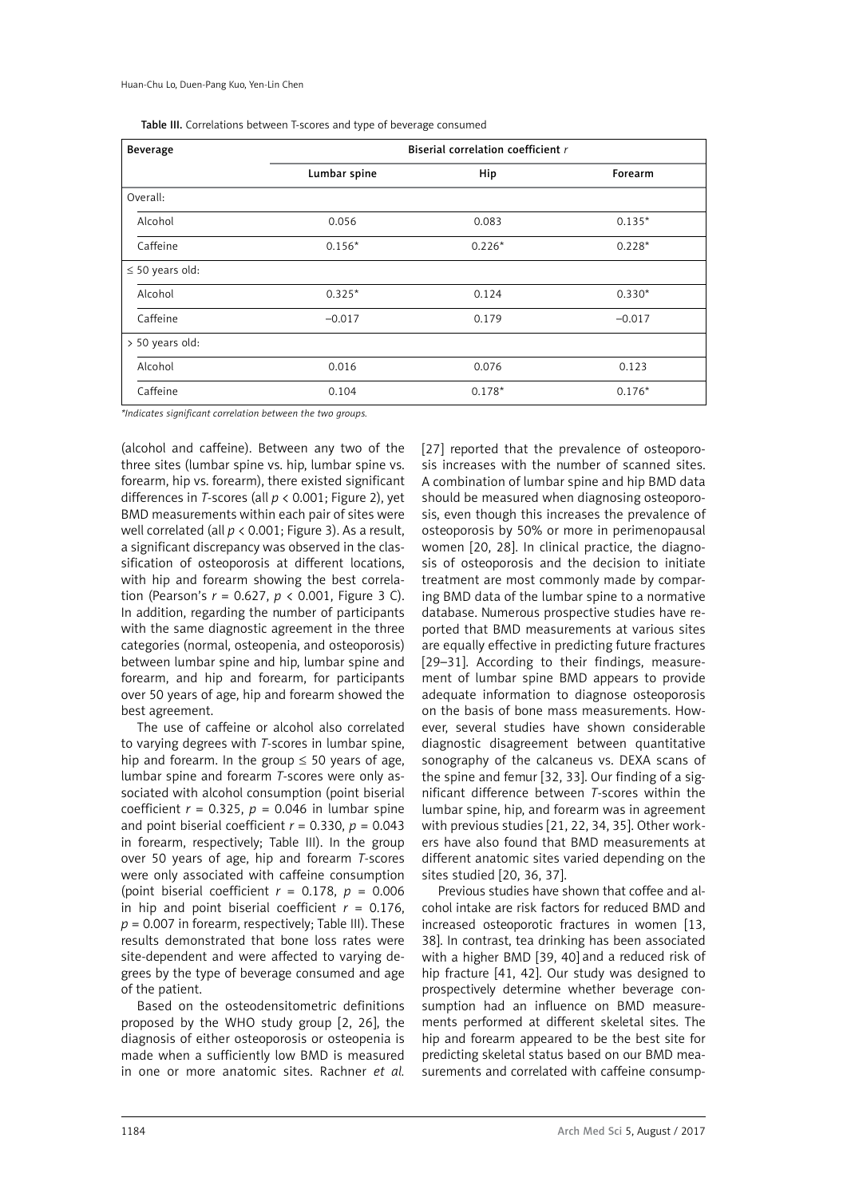| Table III. Correlations between T-scores and type of beverage consumed |  |
|------------------------------------------------------------------------|--|
|------------------------------------------------------------------------|--|

| <b>Beverage</b>      | Biserial correlation coefficient r |          |          |  |  |
|----------------------|------------------------------------|----------|----------|--|--|
|                      | Lumbar spine                       | Hip      | Forearm  |  |  |
| Overall:             |                                    |          |          |  |  |
| Alcohol              | 0.056                              | 0.083    | $0.135*$ |  |  |
| Caffeine             | $0.156*$                           | $0.226*$ | $0.228*$ |  |  |
| $\leq$ 50 years old: |                                    |          |          |  |  |
| Alcohol              | $0.325*$                           | 0.124    | $0.330*$ |  |  |
| Caffeine             | $-0.017$                           | 0.179    | $-0.017$ |  |  |
| > 50 years old:      |                                    |          |          |  |  |
| Alcohol              | 0.016                              | 0.076    | 0.123    |  |  |
| Caffeine             | 0.104                              | $0.178*$ | $0.176*$ |  |  |

*\*Indicates significant correlation between the two groups.*

(alcohol and caffeine). Between any two of the three sites (lumbar spine vs. hip, lumbar spine vs. forearm, hip vs. forearm), there existed significant differences in *T*-scores (all *p* < 0.001; Figure 2), yet BMD measurements within each pair of sites were well correlated (all *p* < 0.001; Figure 3). As a result, a significant discrepancy was observed in the classification of osteoporosis at different locations, with hip and forearm showing the best correlation (Pearson's *r* = 0.627, *p* < 0.001, Figure 3 C). In addition, regarding the number of participants with the same diagnostic agreement in the three categories (normal, osteopenia, and osteoporosis) between lumbar spine and hip, lumbar spine and forearm, and hip and forearm, for participants over 50 years of age, hip and forearm showed the best agreement.

The use of caffeine or alcohol also correlated to varying degrees with *T*-scores in lumbar spine, hip and forearm. In the group  $\leq$  50 years of age, lumbar spine and forearm *T*-scores were only associated with alcohol consumption (point biserial coefficient  $r = 0.325$ ,  $p = 0.046$  in lumbar spine and point biserial coefficient  $r = 0.330$ ,  $p = 0.043$ in forearm, respectively; Table III). In the group over 50 years of age, hip and forearm *T*-scores were only associated with caffeine consumption (point biserial coefficient  $r = 0.178$ ,  $p = 0.006$ in hip and point biserial coefficient  $r = 0.176$ ,  $p = 0.007$  in forearm, respectively; Table III). These results demonstrated that bone loss rates were site-dependent and were affected to varying degrees by the type of beverage consumed and age of the patient.

Based on the osteodensitometric definitions proposed by the WHO study group [2, 26], the diagnosis of either osteoporosis or osteopenia is made when a sufficiently low BMD is measured in one or more anatomic sites. Rachner *et al.* [27] reported that the prevalence of osteoporosis increases with the number of scanned sites. A combination of lumbar spine and hip BMD data should be measured when diagnosing osteoporosis, even though this increases the prevalence of osteoporosis by 50% or more in perimenopausal women [20, 28]. In clinical practice, the diagnosis of osteoporosis and the decision to initiate treatment are most commonly made by comparing BMD data of the lumbar spine to a normative database. Numerous prospective studies have reported that BMD measurements at various sites are equally effective in predicting future fractures [29–31]. According to their findings, measurement of lumbar spine BMD appears to provide adequate information to diagnose osteoporosis on the basis of bone mass measurements. However, several studies have shown considerable diagnostic disagreement between quantitative sonography of the calcaneus vs. DEXA scans of the spine and femur [32, 33]. Our finding of a significant difference between *T*-scores within the lumbar spine, hip, and forearm was in agreement with previous studies [21, 22, 34, 35]. Other workers have also found that BMD measurements at different anatomic sites varied depending on the sites studied [20, 36, 37].

Previous studies have shown that coffee and alcohol intake are risk factors for reduced BMD and increased osteoporotic fractures in women [13, 38]. In contrast, tea drinking has been associated with a higher BMD [39, 40] and a reduced risk of hip fracture [41, 42]. Our study was designed to prospectively determine whether beverage consumption had an influence on BMD measurements performed at different skeletal sites. The hip and forearm appeared to be the best site for predicting skeletal status based on our BMD measurements and correlated with caffeine consump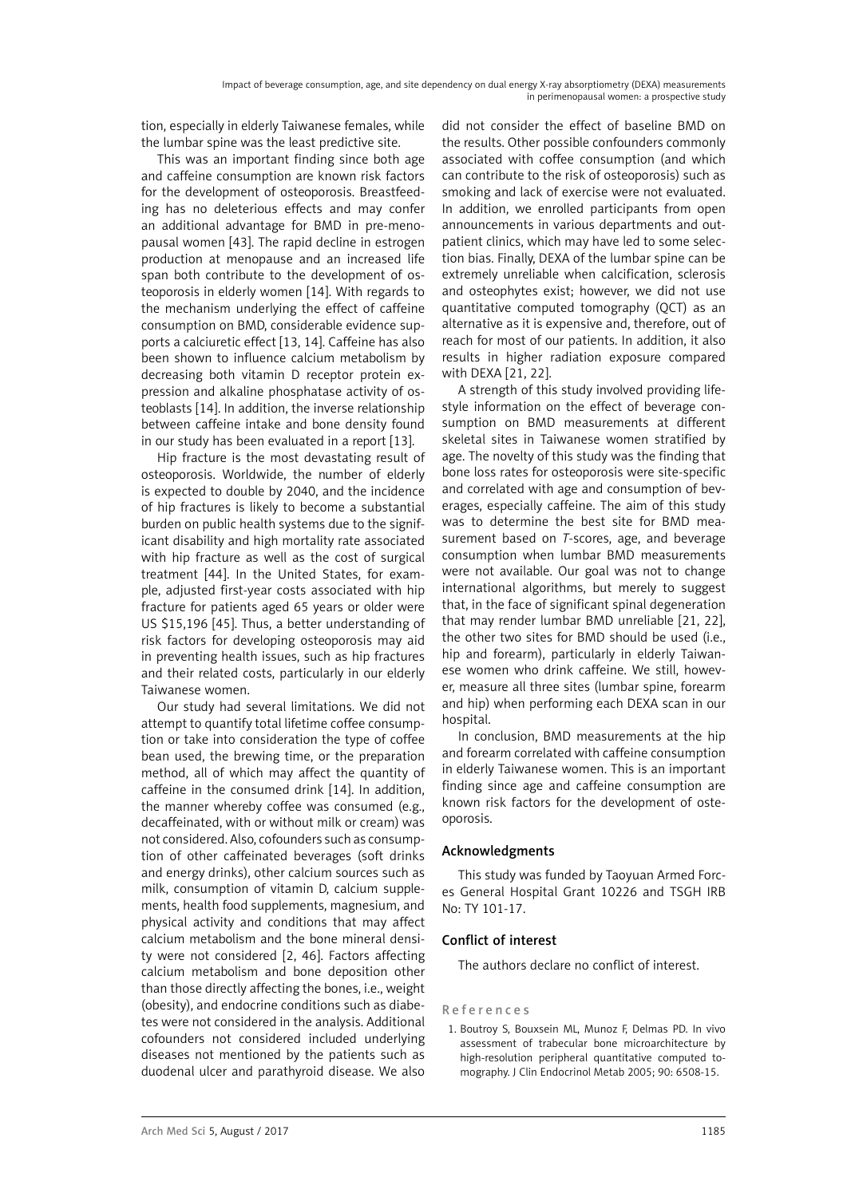tion, especially in elderly Taiwanese females, while the lumbar spine was the least predictive site.

This was an important finding since both age and caffeine consumption are known risk factors for the development of osteoporosis. Breastfeeding has no deleterious effects and may confer an additional advantage for BMD in pre-menopausal women [43]. The rapid decline in estrogen production at menopause and an increased life span both contribute to the development of osteoporosis in elderly women [14]. With regards to the mechanism underlying the effect of caffeine consumption on BMD, considerable evidence supports a calciuretic effect [13, 14]. Caffeine has also been shown to influence calcium metabolism by decreasing both vitamin D receptor protein expression and alkaline phosphatase activity of osteoblasts [14]. In addition, the inverse relationship between caffeine intake and bone density found in our study has been evaluated in a report [13].

Hip fracture is the most devastating result of osteoporosis. Worldwide, the number of elderly is expected to double by 2040, and the incidence of hip fractures is likely to become a substantial burden on public health systems due to the significant disability and high mortality rate associated with hip fracture as well as the cost of surgical treatment [44]. In the United States, for example, adjusted first-year costs associated with hip fracture for patients aged 65 years or older were US \$15,196 [45]. Thus, a better understanding of risk factors for developing osteoporosis may aid in preventing health issues, such as hip fractures and their related costs, particularly in our elderly Taiwanese women.

Our study had several limitations. We did not attempt to quantify total lifetime coffee consumption or take into consideration the type of coffee bean used, the brewing time, or the preparation method, all of which may affect the quantity of caffeine in the consumed drink [14]. In addition, the manner whereby coffee was consumed (e.g., decaffeinated, with or without milk or cream) was not considered. Also, cofounders such as consumption of other caffeinated beverages (soft drinks and energy drinks), other calcium sources such as milk, consumption of vitamin D, calcium supplements, health food supplements, magnesium, and physical activity and conditions that may affect calcium metabolism and the bone mineral density were not considered [2, 46]. Factors affecting calcium metabolism and bone deposition other than those directly affecting the bones, i.e., weight (obesity), and endocrine conditions such as diabetes were not considered in the analysis. Additional cofounders not considered included underlying diseases not mentioned by the patients such as duodenal ulcer and parathyroid disease. We also

did not consider the effect of baseline BMD on the results. Other possible confounders commonly associated with coffee consumption (and which can contribute to the risk of osteoporosis) such as smoking and lack of exercise were not evaluated. In addition, we enrolled participants from open announcements in various departments and outpatient clinics, which may have led to some selection bias. Finally, DEXA of the lumbar spine can be extremely unreliable when calcification, sclerosis and osteophytes exist; however, we did not use quantitative computed tomography (QCT) as an alternative as it is expensive and, therefore, out of reach for most of our patients. In addition, it also results in higher radiation exposure compared with DEXA [21, 22].

A strength of this study involved providing lifestyle information on the effect of beverage consumption on BMD measurements at different skeletal sites in Taiwanese women stratified by age. The novelty of this study was the finding that bone loss rates for osteoporosis were site-specific and correlated with age and consumption of beverages, especially caffeine. The aim of this study was to determine the best site for BMD measurement based on *T*-scores, age, and beverage consumption when lumbar BMD measurements were not available. Our goal was not to change international algorithms, but merely to suggest that, in the face of significant spinal degeneration that may render lumbar BMD unreliable [21, 22], the other two sites for BMD should be used (i.e., hip and forearm), particularly in elderly Taiwanese women who drink caffeine. We still, however, measure all three sites (lumbar spine, forearm and hip) when performing each DEXA scan in our hospital.

In conclusion, BMD measurements at the hip and forearm correlated with caffeine consumption in elderly Taiwanese women. This is an important finding since age and caffeine consumption are known risk factors for the development of osteoporosis.

# Acknowledgments

This study was funded by Taoyuan Armed Forces General Hospital Grant 10226 and TSGH IRB No: TY 101-17.

# Conflict of interest

The authors declare no conflict of interest.

# References

1. Boutroy S, Bouxsein ML, Munoz F, Delmas PD. In vivo assessment of trabecular bone microarchitecture by high-resolution peripheral quantitative computed tomography. J Clin Endocrinol Metab 2005; 90: 6508-15.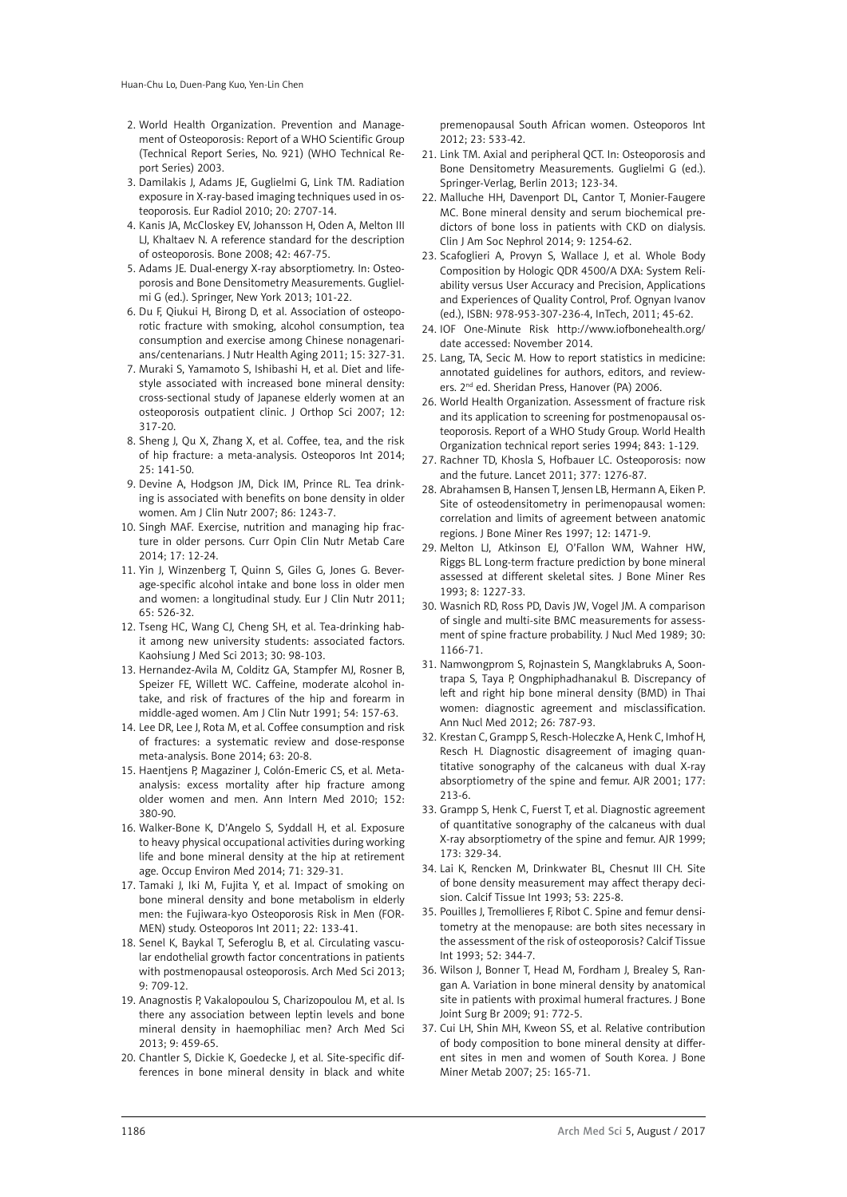- 2. World Health Organization. Prevention and Management of Osteoporosis: Report of a WHO Scientific Group (Technical Report Series, No. 921) (WHO Technical Report Series) 2003.
- 3. Damilakis J, Adams JE, Guglielmi G, Link TM. Radiation exposure in X-ray-based imaging techniques used in osteoporosis. Eur Radiol 2010; 20: 2707-14.
- 4. Kanis JA, McCloskey EV, Johansson H, Oden A, Melton III LJ, Khaltaev N. A reference standard for the description of osteoporosis. Bone 2008; 42: 467-75.
- 5. Adams JE. Dual-energy X-ray absorptiometry. In: Osteoporosis and Bone Densitometry Measurements. Guglielmi G (ed.). Springer, New York 2013; 101-22.
- 6. Du F, Qiukui H, Birong D, et al. Association of osteoporotic fracture with smoking, alcohol consumption, tea consumption and exercise among Chinese nonagenarians/centenarians. J Nutr Health Aging 2011; 15: 327-31.
- 7. Muraki S, Yamamoto S, Ishibashi H, et al. Diet and lifestyle associated with increased bone mineral density: cross-sectional study of Japanese elderly women at an osteoporosis outpatient clinic. J Orthop Sci 2007; 12: 317-20.
- 8. Sheng J, Qu X, Zhang X, et al. Coffee, tea, and the risk of hip fracture: a meta-analysis. Osteoporos Int 2014; 25: 141-50.
- 9. Devine A, Hodgson JM, Dick IM, Prince RL. Tea drinking is associated with benefits on bone density in older women. Am J Clin Nutr 2007; 86: 1243-7.
- 10. Singh MAF. Exercise, nutrition and managing hip fracture in older persons. Curr Opin Clin Nutr Metab Care 2014; 17: 12-24.
- 11. Yin J, Winzenberg T, Quinn S, Giles G, Jones G. Beverage-specific alcohol intake and bone loss in older men and women: a longitudinal study. Eur J Clin Nutr 2011; 65: 526-32.
- 12. Tseng HC, Wang CJ, Cheng SH, et al. Tea-drinking habit among new university students: associated factors. Kaohsiung J Med Sci 2013; 30: 98-103.
- 13. Hernandez-Avila M, Colditz GA, Stampfer MJ, Rosner B, Speizer FE, Willett WC. Caffeine, moderate alcohol intake, and risk of fractures of the hip and forearm in middle-aged women. Am J Clin Nutr 1991; 54: 157-63.
- 14. Lee DR, Lee J, Rota M, et al. Coffee consumption and risk of fractures: a systematic review and dose-response meta-analysis. Bone 2014; 63: 20-8.
- 15. Haentjens P, Magaziner J, Colón-Emeric CS, et al. Metaanalysis: excess mortality after hip fracture among older women and men. Ann Intern Med 2010; 152: 380-90.
- 16. Walker-Bone K, D'Angelo S, Syddall H, et al. Exposure to heavy physical occupational activities during working life and bone mineral density at the hip at retirement age. Occup Environ Med 2014; 71: 329-31.
- 17. Tamaki J, Iki M, Fujita Y, et al. Impact of smoking on bone mineral density and bone metabolism in elderly men: the Fujiwara-kyo Osteoporosis Risk in Men (FOR-MEN) study. Osteoporos Int 2011; 22: 133-41.
- 18. Senel K, Baykal T, Seferoglu B, et al. Circulating vascular endothelial growth factor concentrations in patients with postmenopausal osteoporosis. Arch Med Sci 2013; 9: 709-12.
- 19. Anagnostis P, Vakalopoulou S, Charizopoulou M, et al. Is there any association between leptin levels and bone mineral density in haemophiliac men? Arch Med Sci 2013; 9: 459-65.
- 20. Chantler S, Dickie K, Goedecke J, et al. Site-specific differences in bone mineral density in black and white

premenopausal South African women. Osteoporos Int 2012; 23: 533-42.

- 21. Link TM. Axial and peripheral QCT. In: Osteoporosis and Bone Densitometry Measurements. Guglielmi G (ed.). Springer-Verlag, Berlin 2013; 123-34.
- 22. Malluche HH, Davenport DL, Cantor T, Monier-Faugere MC. Bone mineral density and serum biochemical predictors of bone loss in patients with CKD on dialysis. Clin J Am Soc Nephrol 2014; 9: 1254-62.
- 23. Scafoglieri A, Provyn S, Wallace J, et al. Whole Body Composition by Hologic QDR 4500/A DXA: System Reliability versus User Accuracy and Precision, Applications and Experiences of Quality Control, Prof. Ognyan Ivanov (ed.), ISBN: 978-953-307-236-4, InTech, 2011; 45-62.
- 24. IOF One-Minute Risk http://www.iofbonehealth.org/ date accessed: November 2014.
- 25. Lang, TA, Secic M. How to report statistics in medicine: annotated guidelines for authors, editors, and reviewers. 2nd ed. Sheridan Press, Hanover (PA) 2006.
- 26. World Health Organization. Assessment of fracture risk and its application to screening for postmenopausal osteoporosis. Report of a WHO Study Group. World Health Organization technical report series 1994; 843: 1-129.
- 27. Rachner TD, Khosla S, Hofbauer LC. Osteoporosis: now and the future. Lancet 2011; 377: 1276-87.
- 28. Abrahamsen B, Hansen T, Jensen LB, Hermann A, Eiken P. Site of osteodensitometry in perimenopausal women: correlation and limits of agreement between anatomic regions. J Bone Miner Res 1997; 12: 1471-9.
- 29. Melton LJ, Atkinson EJ, O'Fallon WM, Wahner HW, Riggs BL. Long-term fracture prediction by bone mineral assessed at different skeletal sites. J Bone Miner Res 1993; 8: 1227-33.
- 30. Wasnich RD, Ross PD, Davis JW, Vogel JM. A comparison of single and multi-site BMC measurements for assessment of spine fracture probability. J Nucl Med 1989; 30: 1166-71.
- 31. Namwongprom S, Rojnastein S, Mangklabruks A, Soontrapa S, Taya P, Ongphiphadhanakul B. Discrepancy of left and right hip bone mineral density (BMD) in Thai women: diagnostic agreement and misclassification. Ann Nucl Med 2012; 26: 787-93.
- 32. Krestan C, Grampp S, Resch-Holeczke A, Henk C, Imhof H, Resch H. Diagnostic disagreement of imaging quantitative sonography of the calcaneus with dual X-ray absorptiometry of the spine and femur. AJR 2001; 177: 213-6.
- 33. Grampp S, Henk C, Fuerst T, et al. Diagnostic agreement of quantitative sonography of the calcaneus with dual X-ray absorptiometry of the spine and femur. AJR 1999; 173: 329-34.
- 34. Lai K, Rencken M, Drinkwater BL, Chesnut III CH. Site of bone density measurement may affect therapy decision. Calcif Tissue Int 1993; 53: 225-8.
- 35. Pouilles J, Tremollieres F, Ribot C. Spine and femur densitometry at the menopause: are both sites necessary in the assessment of the risk of osteoporosis? Calcif Tissue Int 1993; 52: 344-7.
- 36. Wilson J, Bonner T, Head M, Fordham J, Brealey S, Rangan A. Variation in bone mineral density by anatomical site in patients with proximal humeral fractures. J Bone Joint Surg Br 2009; 91: 772-5.
- 37. Cui LH, Shin MH, Kweon SS, et al. Relative contribution of body composition to bone mineral density at different sites in men and women of South Korea. J Bone Miner Metab 2007; 25: 165-71.